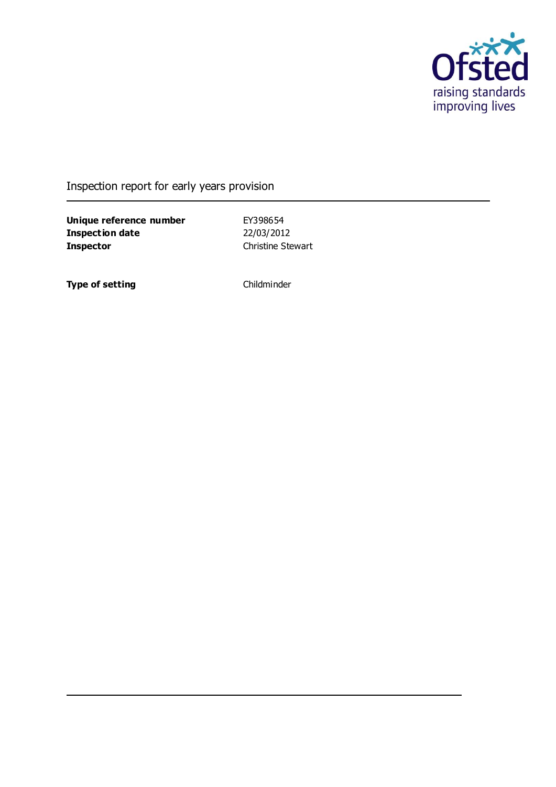

Inspection report for early years provision

**Unique reference number** EY398654<br> **Inspection date** 22/03/2012 **Inspection date Inspector** Christine Stewart

**Type of setting** Childminder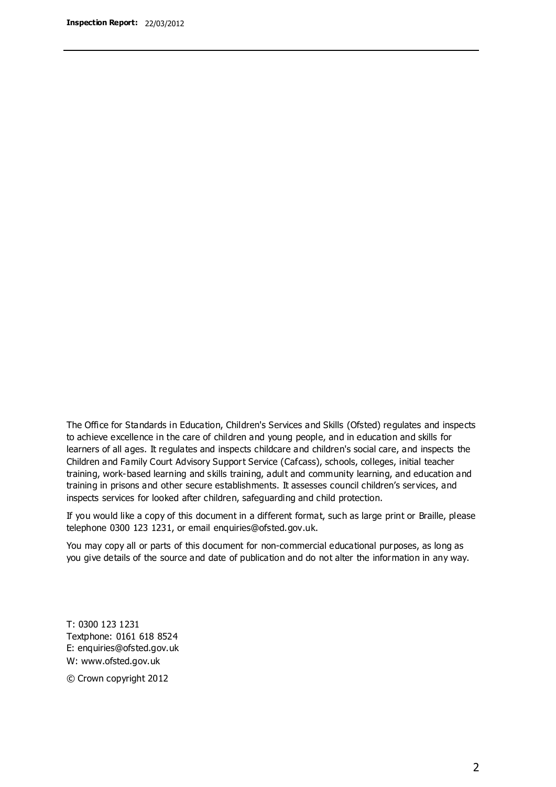The Office for Standards in Education, Children's Services and Skills (Ofsted) regulates and inspects to achieve excellence in the care of children and young people, and in education and skills for learners of all ages. It regulates and inspects childcare and children's social care, and inspects the Children and Family Court Advisory Support Service (Cafcass), schools, colleges, initial teacher training, work-based learning and skills training, adult and community learning, and education and training in prisons and other secure establishments. It assesses council children's services, and inspects services for looked after children, safeguarding and child protection.

If you would like a copy of this document in a different format, such as large print or Braille, please telephone 0300 123 1231, or email enquiries@ofsted.gov.uk.

You may copy all or parts of this document for non-commercial educational purposes, as long as you give details of the source and date of publication and do not alter the information in any way.

T: 0300 123 1231 Textphone: 0161 618 8524 E: enquiries@ofsted.gov.uk W: [www.ofsted.gov.uk](http://www.ofsted.gov.uk/)

© Crown copyright 2012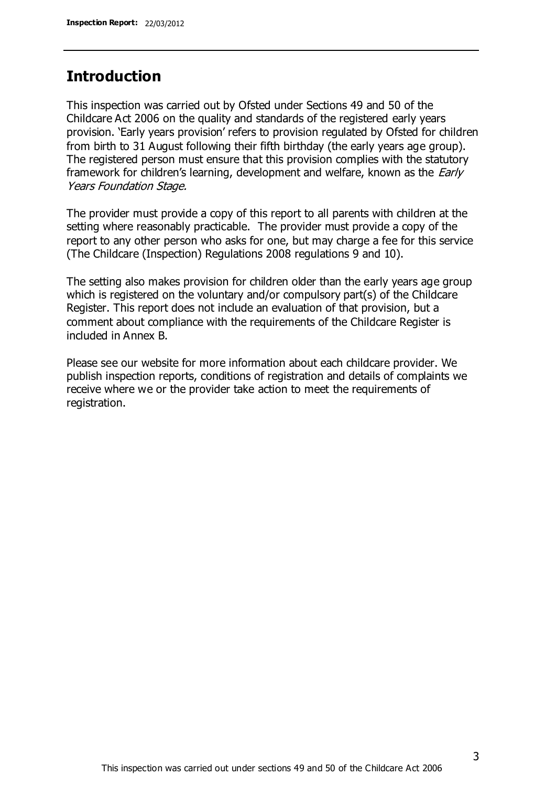### **Introduction**

This inspection was carried out by Ofsted under Sections 49 and 50 of the Childcare Act 2006 on the quality and standards of the registered early years provision. 'Early years provision' refers to provision regulated by Ofsted for children from birth to 31 August following their fifth birthday (the early years age group). The registered person must ensure that this provision complies with the statutory framework for children's learning, development and welfare, known as the *Early* Years Foundation Stage.

The provider must provide a copy of this report to all parents with children at the setting where reasonably practicable. The provider must provide a copy of the report to any other person who asks for one, but may charge a fee for this service (The Childcare (Inspection) Regulations 2008 regulations 9 and 10).

The setting also makes provision for children older than the early years age group which is registered on the voluntary and/or compulsory part(s) of the Childcare Register. This report does not include an evaluation of that provision, but a comment about compliance with the requirements of the Childcare Register is included in Annex B.

Please see our website for more information about each childcare provider. We publish inspection reports, conditions of registration and details of complaints we receive where we or the provider take action to meet the requirements of registration.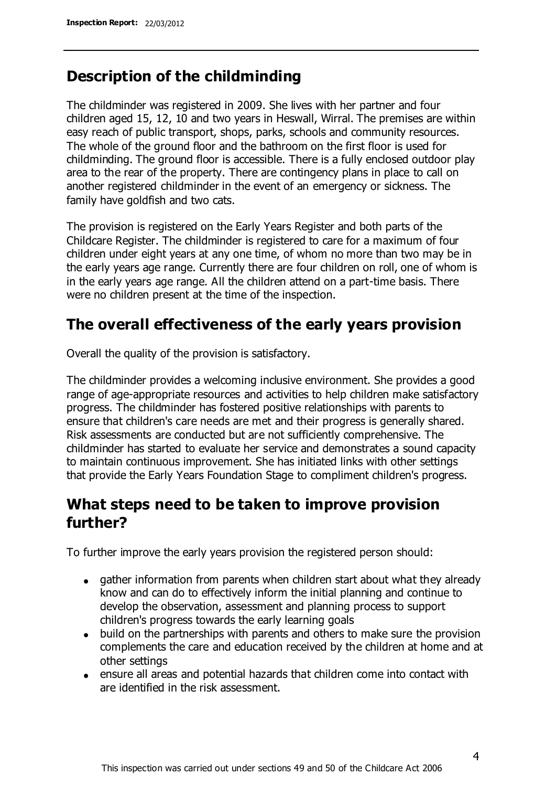## **Description of the childminding**

The childminder was registered in 2009. She lives with her partner and four children aged 15, 12, 10 and two years in Heswall, Wirral. The premises are within easy reach of public transport, shops, parks, schools and community resources. The whole of the ground floor and the bathroom on the first floor is used for childminding. The ground floor is accessible. There is a fully enclosed outdoor play area to the rear of the property. There are contingency plans in place to call on another registered childminder in the event of an emergency or sickness. The family have goldfish and two cats.

The provision is registered on the Early Years Register and both parts of the Childcare Register. The childminder is registered to care for a maximum of four children under eight years at any one time, of whom no more than two may be in the early years age range. Currently there are four children on roll, one of whom is in the early years age range. All the children attend on a part-time basis. There were no children present at the time of the inspection.

## **The overall effectiveness of the early years provision**

Overall the quality of the provision is satisfactory.

The childminder provides a welcoming inclusive environment. She provides a good range of age-appropriate resources and activities to help children make satisfactory progress. The childminder has fostered positive relationships with parents to ensure that children's care needs are met and their progress is generally shared. Risk assessments are conducted but are not sufficiently comprehensive. The childminder has started to evaluate her service and demonstrates a sound capacity to maintain continuous improvement. She has initiated links with other settings that provide the Early Years Foundation Stage to compliment children's progress.

## **What steps need to be taken to improve provision further?**

To further improve the early years provision the registered person should:

- gather information from parents when children start about what they already know and can do to effectively inform the initial planning and continue to develop the observation, assessment and planning process to support children's progress towards the early learning goals
- build on the partnerships with parents and others to make sure the provision complements the care and education received by the children at home and at other settings
- ensure all areas and potential hazards that children come into contact with are identified in the risk assessment.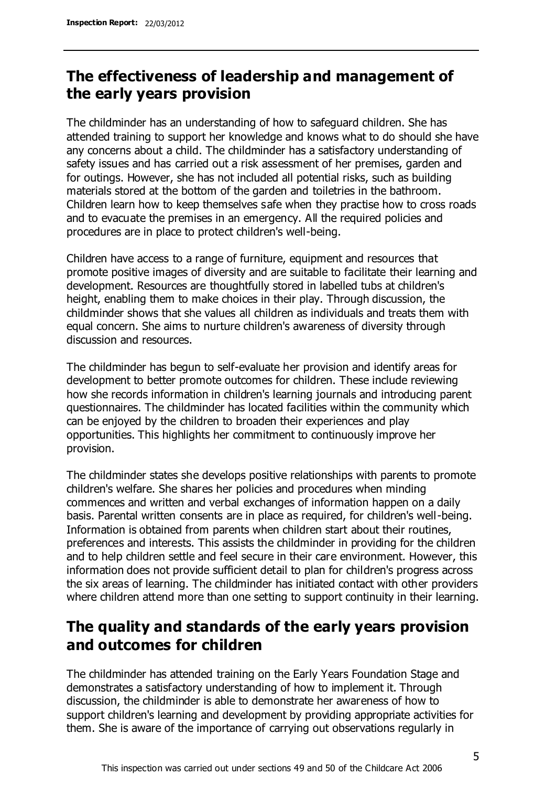## **The effectiveness of leadership and management of the early years provision**

The childminder has an understanding of how to safeguard children. She has attended training to support her knowledge and knows what to do should she have any concerns about a child. The childminder has a satisfactory understanding of safety issues and has carried out a risk assessment of her premises, garden and for outings. However, she has not included all potential risks, such as building materials stored at the bottom of the garden and toiletries in the bathroom. Children learn how to keep themselves safe when they practise how to cross roads and to evacuate the premises in an emergency. All the required policies and procedures are in place to protect children's well-being.

Children have access to a range of furniture, equipment and resources that promote positive images of diversity and are suitable to facilitate their learning and development. Resources are thoughtfully stored in labelled tubs at children's height, enabling them to make choices in their play. Through discussion, the childminder shows that she values all children as individuals and treats them with equal concern. She aims to nurture children's awareness of diversity through discussion and resources.

The childminder has begun to self-evaluate her provision and identify areas for development to better promote outcomes for children. These include reviewing how she records information in children's learning journals and introducing parent questionnaires. The childminder has located facilities within the community which can be enjoyed by the children to broaden their experiences and play opportunities. This highlights her commitment to continuously improve her provision.

The childminder states she develops positive relationships with parents to promote children's welfare. She shares her policies and procedures when minding commences and written and verbal exchanges of information happen on a daily basis. Parental written consents are in place as required, for children's well-being. Information is obtained from parents when children start about their routines, preferences and interests. This assists the childminder in providing for the children and to help children settle and feel secure in their care environment. However, this information does not provide sufficient detail to plan for children's progress across the six areas of learning. The childminder has initiated contact with other providers where children attend more than one setting to support continuity in their learning.

## **The quality and standards of the early years provision and outcomes for children**

The childminder has attended training on the Early Years Foundation Stage and demonstrates a satisfactory understanding of how to implement it. Through discussion, the childminder is able to demonstrate her awareness of how to support children's learning and development by providing appropriate activities for them. She is aware of the importance of carrying out observations regularly in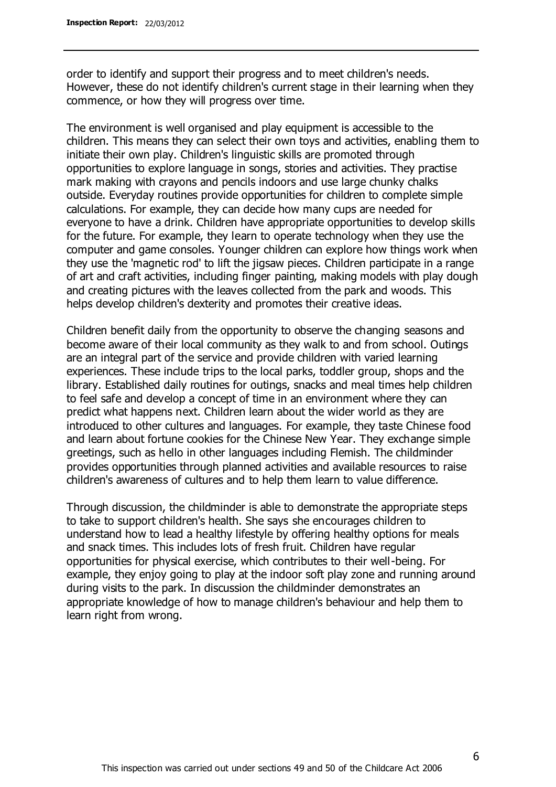order to identify and support their progress and to meet children's needs. However, these do not identify children's current stage in their learning when they commence, or how they will progress over time.

The environment is well organised and play equipment is accessible to the children. This means they can select their own toys and activities, enabling them to initiate their own play. Children's linguistic skills are promoted through opportunities to explore language in songs, stories and activities. They practise mark making with crayons and pencils indoors and use large chunky chalks outside. Everyday routines provide opportunities for children to complete simple calculations. For example, they can decide how many cups are needed for everyone to have a drink. Children have appropriate opportunities to develop skills for the future. For example, they learn to operate technology when they use the computer and game consoles. Younger children can explore how things work when they use the 'magnetic rod' to lift the jigsaw pieces. Children participate in a range of art and craft activities, including finger painting, making models with play dough and creating pictures with the leaves collected from the park and woods. This helps develop children's dexterity and promotes their creative ideas.

Children benefit daily from the opportunity to observe the changing seasons and become aware of their local community as they walk to and from school. Outings are an integral part of the service and provide children with varied learning experiences. These include trips to the local parks, toddler group, shops and the library. Established daily routines for outings, snacks and meal times help children to feel safe and develop a concept of time in an environment where they can predict what happens next. Children learn about the wider world as they are introduced to other cultures and languages. For example, they taste Chinese food and learn about fortune cookies for the Chinese New Year. They exchange simple greetings, such as hello in other languages including Flemish. The childminder provides opportunities through planned activities and available resources to raise children's awareness of cultures and to help them learn to value difference.

Through discussion, the childminder is able to demonstrate the appropriate steps to take to support children's health. She says she encourages children to understand how to lead a healthy lifestyle by offering healthy options for meals and snack times. This includes lots of fresh fruit. Children have regular opportunities for physical exercise, which contributes to their well-being. For example, they enjoy going to play at the indoor soft play zone and running around during visits to the park. In discussion the childminder demonstrates an appropriate knowledge of how to manage children's behaviour and help them to learn right from wrong.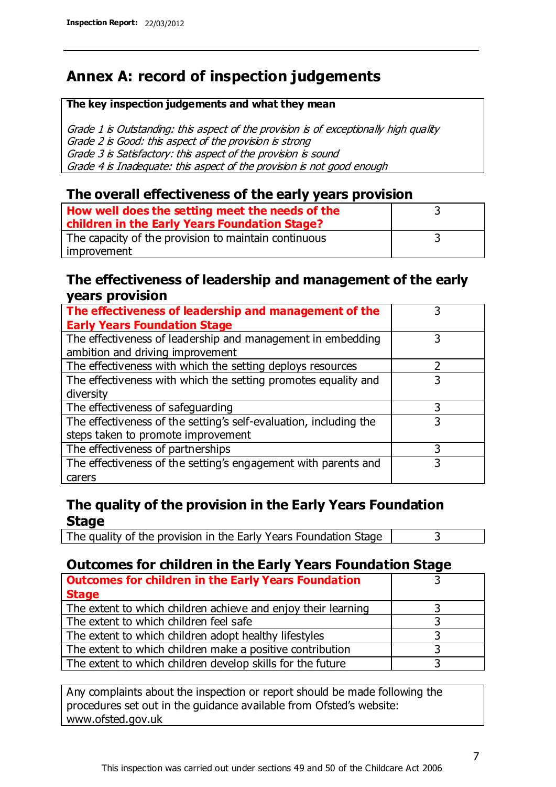## **Annex A: record of inspection judgements**

#### **The key inspection judgements and what they mean**

Grade 1 is Outstanding: this aspect of the provision is of exceptionally high quality Grade 2 is Good: this aspect of the provision is strong Grade 3 is Satisfactory: this aspect of the provision is sound Grade 4 is Inadequate: this aspect of the provision is not good enough

### **The overall effectiveness of the early years provision**

| How well does the setting meet the needs of the      |  |
|------------------------------------------------------|--|
| children in the Early Years Foundation Stage?        |  |
| The capacity of the provision to maintain continuous |  |
| improvement                                          |  |

### **The effectiveness of leadership and management of the early years provision**

| The effectiveness of leadership and management of the             |   |
|-------------------------------------------------------------------|---|
| <b>Early Years Foundation Stage</b>                               |   |
| The effectiveness of leadership and management in embedding       |   |
| ambition and driving improvement                                  |   |
| The effectiveness with which the setting deploys resources        |   |
| The effectiveness with which the setting promotes equality and    | 3 |
| diversity                                                         |   |
| The effectiveness of safeguarding                                 |   |
| The effectiveness of the setting's self-evaluation, including the | 3 |
| steps taken to promote improvement                                |   |
| The effectiveness of partnerships                                 |   |
| The effectiveness of the setting's engagement with parents and    |   |
| carers                                                            |   |

### **The quality of the provision in the Early Years Foundation Stage**

The quality of the provision in the Early Years Foundation Stage  $\vert$  3

### **Outcomes for children in the Early Years Foundation Stage**

| <b>Outcomes for children in the Early Years Foundation</b>    |  |
|---------------------------------------------------------------|--|
| <b>Stage</b>                                                  |  |
| The extent to which children achieve and enjoy their learning |  |
| The extent to which children feel safe                        |  |
| The extent to which children adopt healthy lifestyles         |  |
| The extent to which children make a positive contribution     |  |
| The extent to which children develop skills for the future    |  |

Any complaints about the inspection or report should be made following the procedures set out in the guidance available from Ofsted's website: www.ofsted.gov.uk